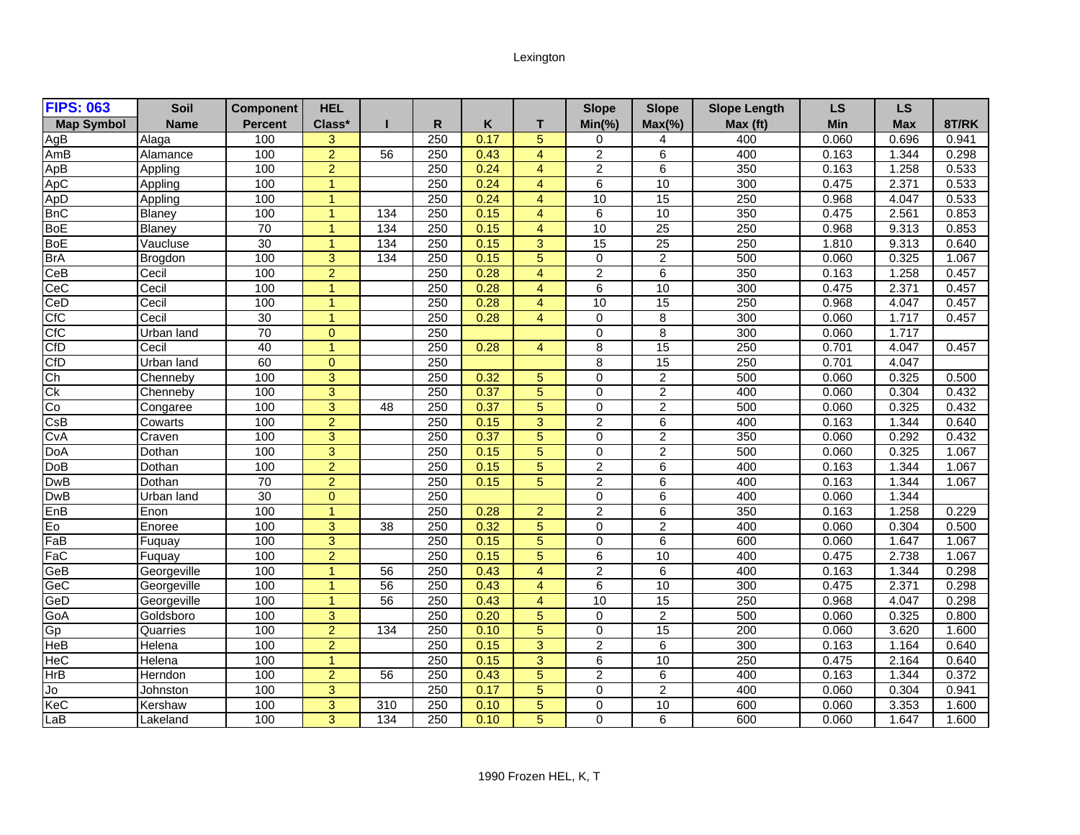## Lexington

| <b>FIPS: 063</b>  | Soil          | <b>Component</b> | <b>HEL</b>           |                 |     |      |                         | <b>Slope</b>   | <b>Slope</b>    | <b>Slope Length</b> | LS    | <b>LS</b>  |       |
|-------------------|---------------|------------------|----------------------|-----------------|-----|------|-------------------------|----------------|-----------------|---------------------|-------|------------|-------|
| <b>Map Symbol</b> | Name          | <b>Percent</b>   | Class*               |                 | R   | Κ    | т                       | $Min(\% )$     | $Max(\% )$      | Max (ft)            | Min   | <b>Max</b> | 8T/RK |
| AgB               | Alaga         | 100              | 3                    |                 | 250 | 0.17 | 5                       | 0              | 4               | 400                 | 0.060 | 0.696      | 0.941 |
| AmB               | Alamance      | 100              | $\overline{2}$       | 56              | 250 | 0.43 | $\overline{4}$          | $\overline{2}$ | 6               | 400                 | 0.163 | 1.344      | 0.298 |
| ApB               | Appling       | 100              | $\overline{2}$       |                 | 250 | 0.24 | $\overline{4}$          | $\overline{2}$ | 6               | 350                 | 0.163 | 1.258      | 0.533 |
| ApC               | Appling       | 100              | 1                    |                 | 250 | 0.24 | $\overline{4}$          | 6              | 10              | 300                 | 0.475 | 2.371      | 0.533 |
| ApD               | Appling       | 100              | $\blacktriangleleft$ |                 | 250 | 0.24 | $\overline{4}$          | 10             | 15              | 250                 | 0.968 | 4.047      | 0.533 |
| <b>BnC</b>        | Blaney        | 100              | $\blacktriangleleft$ | 134             | 250 | 0.15 | $\overline{4}$          | 6              | 10              | 350                 | 0.475 | 2.561      | 0.853 |
| <b>BoE</b>        | <b>Blaney</b> | 70               | $\blacktriangleleft$ | 134             | 250 | 0.15 | $\overline{4}$          | 10             | $\overline{25}$ | 250                 | 0.968 | 9.313      | 0.853 |
| <b>BoE</b>        | Vaucluse      | $\overline{30}$  | $\mathbf{1}$         | 134             | 250 | 0.15 | 3                       | 15             | 25              | 250                 | 1.810 | 9.313      | 0.640 |
| <b>BrA</b>        | Brogdon       | 100              | 3                    | $\frac{134}{2}$ | 250 | 0.15 | 5                       | 0              | $\overline{c}$  | 500                 | 0.060 | 0.325      | 1.067 |
| CeB               | Cecil         | 100              | $\overline{2}$       |                 | 250 | 0.28 | $\overline{4}$          | $\overline{2}$ | 6               | 350                 | 0.163 | 1.258      | 0.457 |
| CeC               | Cecil         | 100              | $\mathbf{1}$         |                 | 250 | 0.28 | $\overline{4}$          | $\overline{6}$ | 10              | 300                 | 0.475 | 2.371      | 0.457 |
| CeD               | Cecil         | 100              | $\mathbf{1}$         |                 | 250 | 0.28 | $\overline{4}$          | 10             | 15              | 250                 | 0.968 | 4.047      | 0.457 |
| CfC               | Cecil         | 30               | 1                    |                 | 250 | 0.28 | $\overline{\mathbf{4}}$ | $\mathbf 0$    | 8               | 300                 | 0.060 | 1.717      | 0.457 |
| CfC               | Urban land    | 70               | $\Omega$             |                 | 250 |      |                         | $\Omega$       | 8               | 300                 | 0.060 | 1.717      |       |
| CfD               | Cecil         | 40               | $\overline{1}$       |                 | 250 | 0.28 | $\overline{4}$          | 8              | 15              | 250                 | 0.701 | 4.047      | 0.457 |
| CfD               | Urban land    | 60               | $\Omega$             |                 | 250 |      |                         | 8              | 15              | 250                 | 0.701 | 4.047      |       |
| Ch                | Chennebv      | 100              | 3                    |                 | 250 | 0.32 | 5                       | 0              | $\overline{2}$  | 500                 | 0.060 | 0.325      | 0.500 |
| Сk                | Chenneby      | 100              | 3                    |                 | 250 | 0.37 | 5                       | $\mathbf 0$    | $\overline{2}$  | 400                 | 0.060 | 0.304      | 0.432 |
| Co                | Congaree      | 100              | $\overline{3}$       | 48              | 250 | 0.37 | $\overline{5}$          | $\Omega$       | $\overline{2}$  | 500                 | 0.060 | 0.325      | 0.432 |
| CsB               | Cowarts       | 100              | $\overline{2}$       |                 | 250 | 0.15 | 3                       | $\overline{2}$ | 6               | 400                 | 0.163 | 1.344      | 0.640 |
| CvA               | Craven        | 100              | 3                    |                 | 250 | 0.37 | 5                       | 0              | $\overline{c}$  | 350                 | 0.060 | 0.292      | 0.432 |
| <b>DoA</b>        | Dothan        | 100              | 3                    |                 | 250 | 0.15 | $\overline{5}$          | 0              | $\overline{2}$  | 500                 | 0.060 | 0.325      | 1.067 |
| DoB               | Dothan        | 100              | $\overline{2}$       |                 | 250 | 0.15 | 5                       | $\overline{2}$ | 6               | 400                 | 0.163 | 1.344      | 1.067 |
| <b>DwB</b>        | Dothan        | 70               | $\overline{2}$       |                 | 250 | 0.15 | 5                       | $\overline{2}$ | 6               | 400                 | 0.163 | 1.344      | 1.067 |
| <b>DwB</b>        | Urban land    | $\overline{30}$  | $\Omega$             |                 | 250 |      |                         | $\Omega$       | 6               | 400                 | 0.060 | 1.344      |       |
| EnB               | Enon          | 100              | $\blacktriangleleft$ |                 | 250 | 0.28 | $\overline{2}$          | $\overline{2}$ | 6               | 350                 | 0.163 | 1.258      | 0.229 |
| Eo                | Enoree        | 100              | 3                    | 38              | 250 | 0.32 | 5                       | $\Omega$       | $\overline{2}$  | 400                 | 0.060 | 0.304      | 0.500 |
| FaB               | Fuquay        | 100              | 3                    |                 | 250 | 0.15 | 5                       | $\Omega$       | 6               | 600                 | 0.060 | 1.647      | 1.067 |
| FaC               | Fuquay        | 100              | $\overline{2}$       |                 | 250 | 0.15 | 5                       | 6              | 10              | 400                 | 0.475 | 2.738      | 1.067 |
| GeB               | Georgeville   | 100              | 1                    | 56              | 250 | 0.43 | $\overline{4}$          | $\overline{2}$ | 6               | 400                 | 0.163 | 1.344      | 0.298 |
| GeC               | Georgeville   | 100              | $\overline{1}$       | 56              | 250 | 0.43 | $\overline{4}$          | 6              | 10              | 300                 | 0.475 | 2.371      | 0.298 |
| GeD               | Georgeville   | 100              | $\blacktriangleleft$ | 56              | 250 | 0.43 | $\overline{4}$          | 10             | 15              | 250                 | 0.968 | 4.047      | 0.298 |
| GoA               | Goldsboro     | 100              | 3                    |                 | 250 | 0.20 | 5                       | $\mathbf 0$    | $\overline{2}$  | 500                 | 0.060 | 0.325      | 0.800 |
| Gp                | Quarries      | 100              | $\overline{2}$       | 134             | 250 | 0.10 | 5                       | 0              | 15              | 200                 | 0.060 | 3.620      | 1.600 |
| HeB               | Helena        | 100              | $\overline{2}$       |                 | 250 | 0.15 | 3                       | $\overline{2}$ | 6               | 300                 | 0.163 | 1.164      | 0.640 |
| HeC               | Helena        | 100              | $\mathbf{1}$         |                 | 250 | 0.15 | 3                       | 6              | 10              | 250                 | 0.475 | 2.164      | 0.640 |
| HrB               | Herndon       | 100              | $\overline{2}$       | 56              | 250 | 0.43 | 5                       | $\overline{2}$ | 6               | 400                 | 0.163 | 1.344      | 0.372 |
| Jo                | Johnston      | 100              | 3                    |                 | 250 | 0.17 | 5                       | $\Omega$       | 2               | 400                 | 0.060 | 0.304      | 0.941 |
| KeC               | Kershaw       | 100              | 3                    | 310             | 250 | 0.10 | 5                       | 0              | 10              | 600                 | 0.060 | 3.353      | 1.600 |
| LaB               | Lakeland      | 100              | 3                    | 134             | 250 | 0.10 | 5                       | 0              | 6               | 600                 | 0.060 | 1.647      | 1.600 |